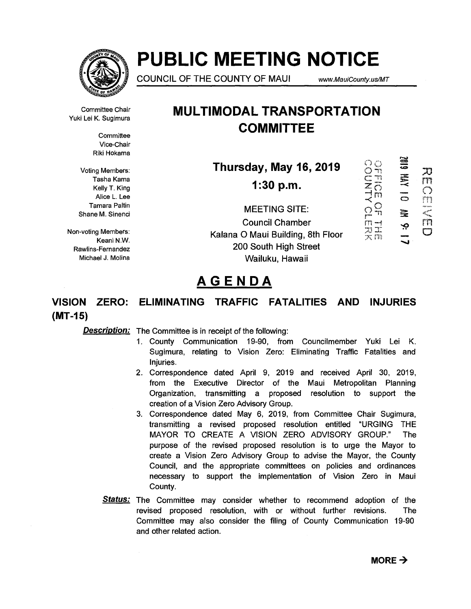

# **PUBLIC MEETING NOTICE**

**COUNCIL OF THE COUNTY OF MAUI** www.MauiCounty.us/MT

Committee Chair Yuki Lei K. Sugimura

> **Committee** Vice-Chair Riki Hokama

Voting Members: Tasha Kama Kelly T. King Alice L. Lee Tamara Paltin Shane M. Sinenci

Non-voting Members: Keani N.W. Rawlins-Fernandez Michael J. Molina

### **MULTIMODAL TRANSPORTATION COMMITTEE**

**Thursday, May 16, 2019** 

**1:30 p.m.** 

**MEETING SITE: Council Chamber Kalana 0 Maui Building, 8th Floor 200 South High Street Wailuku, Hawaii** 

AVH 610Z  $\ddot{\Xi}$ È Ģ

刀  $\Gamma$  $\bigcirc$ 

 $\frac{1}{5}$ 

ŗή

 $\Box$ 

OFFICE OF<br>OFFICE OF

ドロゴーズ マストランド

## **AGENDA**

### **VISION ZERO: ELIMINATING TRAFFIC FATALITIES AND INJURIES (MT-15)**

**Description:** The Committee is in receipt of the following:

- 1. County Communication 19-90, from Councilmember Yuki Lei K. Sugimura, relating to Vision Zero: Eliminating Traffic Fatalities and Injuries.
- 2. Correspondence dated April 9, 2019 and received April 30, 2019, from the Executive Director of the Maui Metropolitan Planning Organization, transmitting a proposed resolution to support the creation of a Vision Zero Advisory Group.
- 3. Correspondence dated May 6, 2019, from Committee Chair Sugimura, transmitting a revised proposed resolution entitled "URGING THE MAYOR TO CREATE A VISION ZERO ADVISORY GROUP." The purpose of the revised proposed resolution is to urge the Mayor to create a Vision Zero Advisory Group to advise the Mayor, the County Council, and the appropriate committees on policies and ordinances necessary to support the implementation of Vision Zero in Maui County.
- **Status:** The Committee may consider whether to recommend adoption of the revised proposed resolution, with or without further revisions. The Committee may also consider the filing of County Communication 19-90 and other related action.